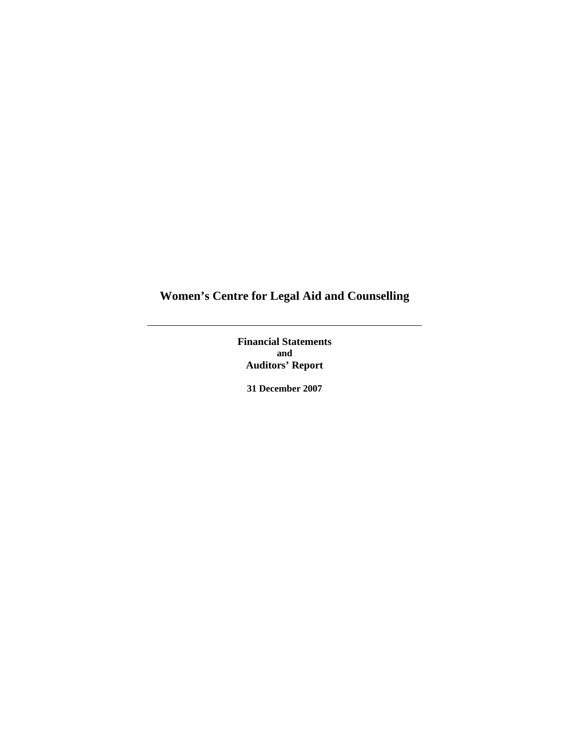**Financial Statements and Auditors' Report** 

**31 December 2007**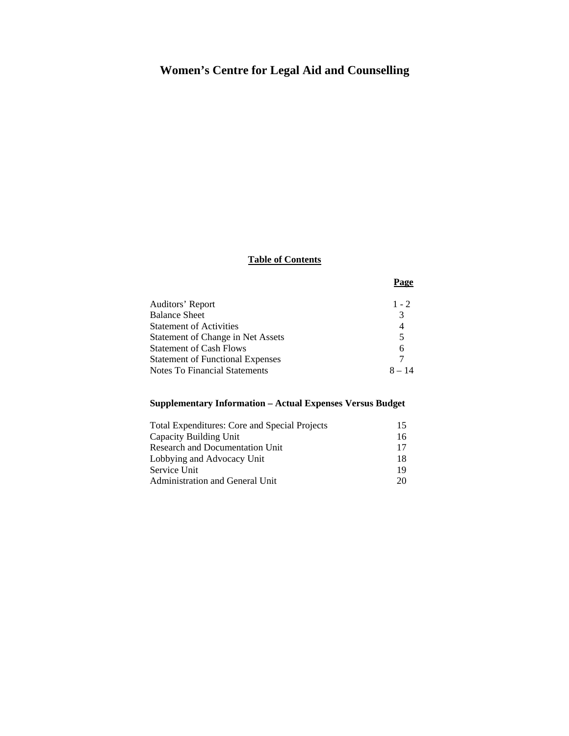## **Table of Contents**

**Page**

| Auditors' Report                         | $1 - 2$       |
|------------------------------------------|---------------|
| <b>Balance Sheet</b>                     | $\mathcal{R}$ |
| <b>Statement of Activities</b>           |               |
| <b>Statement of Change in Net Assets</b> | 5             |
| <b>Statement of Cash Flows</b>           | 6             |
| <b>Statement of Functional Expenses</b>  | $\tau$        |
| <b>Notes To Financial Statements</b>     | $8 - 14$      |

## **Supplementary Information – Actual Expenses Versus Budget**

| <b>Total Expenditures: Core and Special Projects</b> | 15. |
|------------------------------------------------------|-----|
| Capacity Building Unit                               | 16  |
| <b>Research and Documentation Unit</b>               | 17  |
| Lobbying and Advocacy Unit                           | 18  |
| Service Unit                                         | 19  |
| <b>Administration and General Unit</b>               | 20  |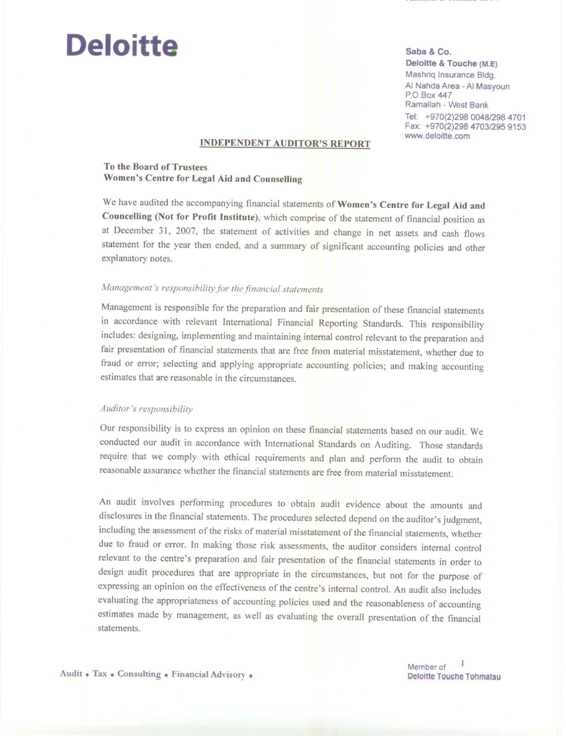# **Deloitte**

Saba & Co. Deloitte & Touche (M.E) Mashrig Insurance Bldg. Al Nahda Area - Al Masyoun P.O.Box 447 Ramallah - West Bank Tel: +970(2)298 0048/298 4701 Fax: +970(2)298 4703/295 9153 www.deloitte.com

#### **INDEPENDENT AUDITOR'S REPORT**

#### To the Board of Trustees Women's Centre for Legal Aid and Counselling

We have audited the accompanying financial statements of Women's Centre for Legal Aid and Councelling (Not for Profit Institute), which comprise of the statement of financial position as at December 31, 2007, the statement of activities and change in net assets and cash flows statement for the year then ended, and a summary of significant accounting policies and other explanatory notes.

#### Management's responsibility for the financial statements

Management is responsible for the preparation and fair presentation of these financial statements in accordance with relevant International Financial Reporting Standards. This responsibility includes: designing, implementing and maintaining internal control relevant to the preparation and fair presentation of financial statements that are free from material misstatement, whether due to fraud or error; selecting and applying appropriate accounting policies; and making accounting estimates that are reasonable in the circumstances.

#### Auditor's responsibility

Our responsibility is to express an opinion on these financial statements based on our audit. We conducted our audit in accordance with International Standards on Auditing. Those standards require that we comply with ethical requirements and plan and perform the audit to obtain reasonable assurance whether the financial statements are free from material misstatement.

An audit involves performing procedures to obtain audit evidence about the amounts and disclosures in the financial statements. The procedures selected depend on the auditor's judgment, including the assessment of the risks of material misstatement of the financial statements, whether due to fraud or error. In making those risk assessments, the auditor considers internal control relevant to the centre's preparation and fair presentation of the financial statements in order to design audit procedures that are appropriate in the circumstances, but not for the purpose of expressing an opinion on the effectiveness of the centre's internal control. An audit also includes evaluating the appropriateness of accounting policies used and the reasonableness of accounting estimates made by management, as well as evaluating the overall presentation of the financial statements.

Audit . Tax . Consulting . Financial Advisory .

Member of **Deloitte Touche Tohmatsu**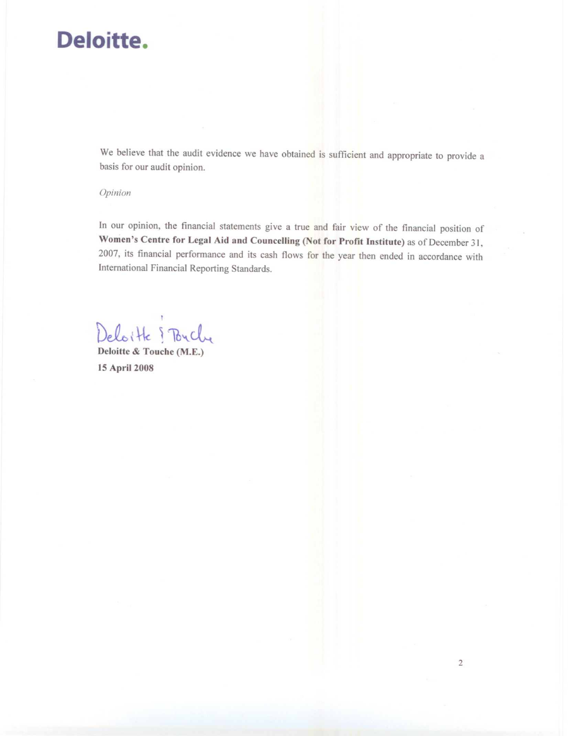## Deloitte.

We believe that the audit evidence we have obtained is sufficient and appropriate to provide a basis for our audit opinion.

Opinion

In our opinion, the financial statements give a true and fair view of the financial position of Women's Centre for Legal Aid and Councelling (Not for Profit Institute) as of December 31, 2007, its financial performance and its cash flows for the year then ended in accordance with International Financial Reporting Standards.

Deloitte & Buch

Deloitte & Touche (M.E.) 15 April 2008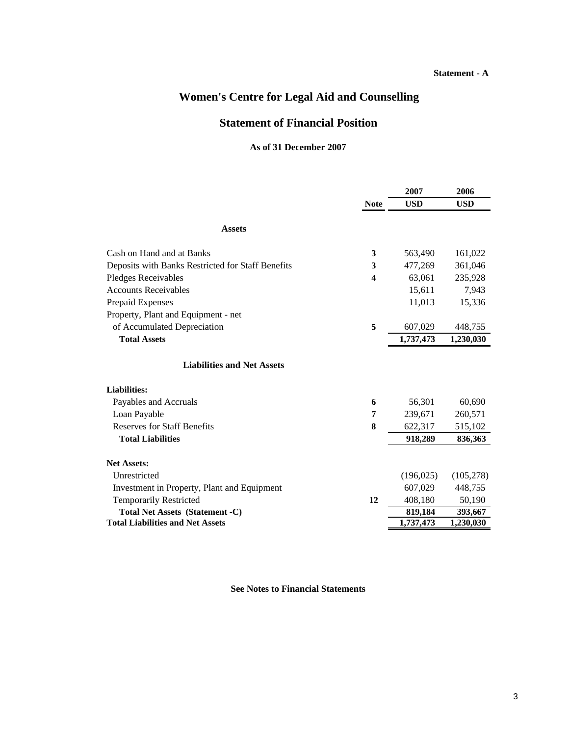#### **Statement - A**

## **Women's Centre for Legal Aid and Counselling**

## **Statement of Financial Position**

#### **As of 31 December 2007**

|                                                   |                         | 2007       | 2006       |
|---------------------------------------------------|-------------------------|------------|------------|
|                                                   | <b>Note</b>             | <b>USD</b> | <b>USD</b> |
| <b>Assets</b>                                     |                         |            |            |
| Cash on Hand and at Banks                         | 3                       | 563,490    | 161,022    |
| Deposits with Banks Restricted for Staff Benefits | 3                       | 477,269    | 361,046    |
| Pledges Receivables                               | $\overline{\mathbf{4}}$ | 63,061     | 235,928    |
| <b>Accounts Receivables</b>                       |                         | 15,611     | 7,943      |
| Prepaid Expenses                                  |                         | 11,013     | 15,336     |
| Property, Plant and Equipment - net               |                         |            |            |
| of Accumulated Depreciation                       | 5                       | 607,029    | 448,755    |
| <b>Total Assets</b>                               |                         | 1,737,473  | 1,230,030  |
| <b>Liabilities and Net Assets</b>                 |                         |            |            |
| <b>Liabilities:</b>                               |                         |            |            |
| Payables and Accruals                             | 6                       | 56,301     | 60,690     |
| Loan Payable                                      | 7                       | 239,671    | 260,571    |
| <b>Reserves for Staff Benefits</b>                | 8                       | 622,317    | 515,102    |
| <b>Total Liabilities</b>                          |                         | 918,289    | 836,363    |
| <b>Net Assets:</b>                                |                         |            |            |
| Unrestricted                                      |                         | (196, 025) | (105, 278) |
| Investment in Property, Plant and Equipment       |                         | 607,029    | 448,755    |
| <b>Temporarily Restricted</b>                     | 12                      | 408,180    | 50,190     |
| Total Net Assets (Statement -C)                   |                         | 819,184    | 393,667    |
| <b>Total Liabilities and Net Assets</b>           |                         | 1,737,473  | 1,230,030  |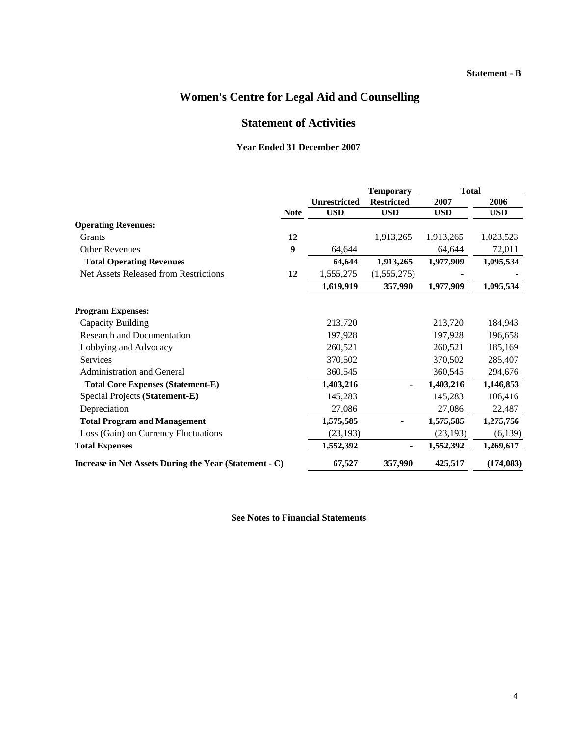#### **Statement - B**

## **Women's Centre for Legal Aid and Counselling**

## **Statement of Activities**

#### **Year Ended 31 December 2007**

|                                                        |             |                     | <b>Temporary</b>  | <b>Total</b> |            |
|--------------------------------------------------------|-------------|---------------------|-------------------|--------------|------------|
|                                                        |             | <b>Unrestricted</b> | <b>Restricted</b> | 2007         | 2006       |
|                                                        | <b>Note</b> | <b>USD</b>          | <b>USD</b>        | <b>USD</b>   | <b>USD</b> |
| <b>Operating Revenues:</b>                             |             |                     |                   |              |            |
| Grants                                                 | 12          |                     | 1,913,265         | 1,913,265    | 1,023,523  |
| <b>Other Revenues</b>                                  | 9           | 64,644              |                   | 64,644       | 72,011     |
| <b>Total Operating Revenues</b>                        |             | 64,644              | 1,913,265         | 1,977,909    | 1,095,534  |
| Net Assets Released from Restrictions                  | 12          | 1,555,275           | (1, 555, 275)     |              |            |
|                                                        |             | 1,619,919           | 357,990           | 1,977,909    | 1,095,534  |
| <b>Program Expenses:</b>                               |             |                     |                   |              |            |
| Capacity Building                                      |             | 213,720             |                   | 213,720      | 184,943    |
| <b>Research and Documentation</b>                      |             | 197,928             |                   | 197,928      | 196,658    |
| Lobbying and Advocacy                                  |             | 260,521             |                   | 260,521      | 185,169    |
| Services                                               |             | 370,502             |                   | 370,502      | 285,407    |
| <b>Administration and General</b>                      |             | 360,545             |                   | 360,545      | 294,676    |
| <b>Total Core Expenses (Statement-E)</b>               |             | 1,403,216           |                   | 1,403,216    | 1,146,853  |
| Special Projects (Statement-E)                         |             | 145,283             |                   | 145,283      | 106,416    |
| Depreciation                                           |             | 27,086              |                   | 27,086       | 22,487     |
| <b>Total Program and Management</b>                    |             | 1,575,585           |                   | 1,575,585    | 1,275,756  |
| Loss (Gain) on Currency Fluctuations                   |             | (23, 193)           |                   | (23, 193)    | (6,139)    |
| <b>Total Expenses</b>                                  |             | 1,552,392           |                   | 1,552,392    | 1,269,617  |
| Increase in Net Assets During the Year (Statement - C) |             | 67,527              | 357,990           | 425,517      | (174, 083) |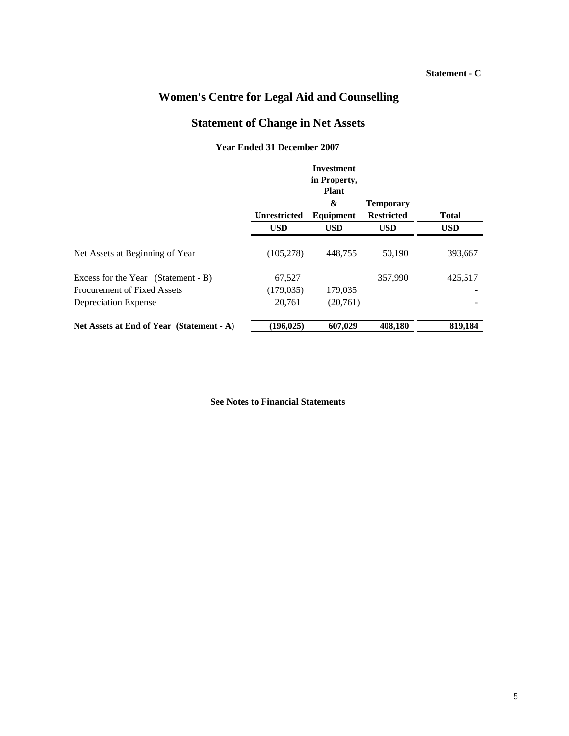#### **Statement - C**

## **Women's Centre for Legal Aid and Counselling**

## **Statement of Change in Net Assets**

#### **Year Ended 31 December 2007**

|                                           |                     | <b>Investment</b><br>in Property,<br><b>Plant</b> |                   |              |
|-------------------------------------------|---------------------|---------------------------------------------------|-------------------|--------------|
|                                           |                     | &                                                 | <b>Temporary</b>  |              |
|                                           | <b>Unrestricted</b> | Equipment                                         | <b>Restricted</b> | <b>Total</b> |
|                                           | <b>USD</b>          | <b>USD</b>                                        | <b>USD</b>        | <b>USD</b>   |
| Net Assets at Beginning of Year           | (105, 278)          | 448,755                                           | 50,190            | 393,667      |
| Excess for the Year (Statement - B)       | 67,527              |                                                   | 357,990           | 425,517      |
| Procurement of Fixed Assets               | (179, 035)          | 179,035                                           |                   |              |
| Depreciation Expense                      | 20,761              | (20,761)                                          |                   |              |
| Net Assets at End of Year (Statement - A) | (196.025)           | 607.029                                           | 408.180           | 819,184      |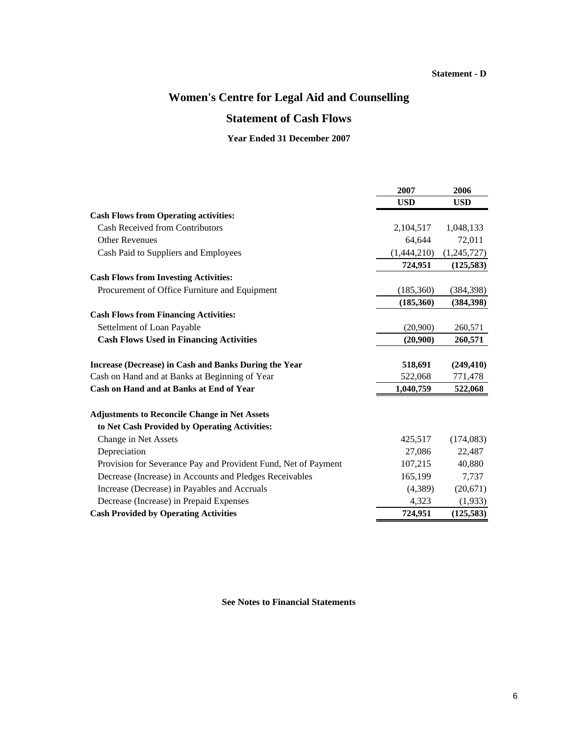#### **Statement - D**

## **Women's Centre for Legal Aid and Counselling**

## **Statement of Cash Flows**

**Year Ended 31 December 2007**

|                                                                | 2007        | 2006        |
|----------------------------------------------------------------|-------------|-------------|
|                                                                | <b>USD</b>  | <b>USD</b>  |
| <b>Cash Flows from Operating activities:</b>                   |             |             |
| Cash Received from Contributors                                | 2,104,517   | 1,048,133   |
| <b>Other Revenues</b>                                          | 64,644      | 72,011      |
| Cash Paid to Suppliers and Employees                           | (1,444,210) | (1,245,727) |
|                                                                | 724,951     | (125, 583)  |
| <b>Cash Flows from Investing Activities:</b>                   |             |             |
| Procurement of Office Furniture and Equipment                  | (185,360)   | (384, 398)  |
|                                                                | (185, 360)  | (384, 398)  |
| <b>Cash Flows from Financing Activities:</b>                   |             |             |
| Settelment of Loan Payable                                     | (20,900)    | 260,571     |
| <b>Cash Flows Used in Financing Activities</b>                 | (20,900)    | 260,571     |
| Increase (Decrease) in Cash and Banks During the Year          | 518,691     | (249, 410)  |
| Cash on Hand and at Banks at Beginning of Year                 | 522,068     | 771,478     |
| Cash on Hand and at Banks at End of Year                       | 1,040,759   | 522,068     |
| <b>Adjustments to Reconcile Change in Net Assets</b>           |             |             |
| to Net Cash Provided by Operating Activities:                  |             |             |
| Change in Net Assets                                           | 425,517     | (174, 083)  |
| Depreciation                                                   | 27,086      | 22,487      |
| Provision for Severance Pay and Provident Fund, Net of Payment | 107,215     | 40,880      |
| Decrease (Increase) in Accounts and Pledges Receivables        | 165,199     | 7,737       |
| Increase (Decrease) in Payables and Accruals                   | (4,389)     | (20,671)    |
| Decrease (Increase) in Prepaid Expenses                        | 4,323       | (1,933)     |
| <b>Cash Provided by Operating Activities</b>                   | 724,951     | (125, 583)  |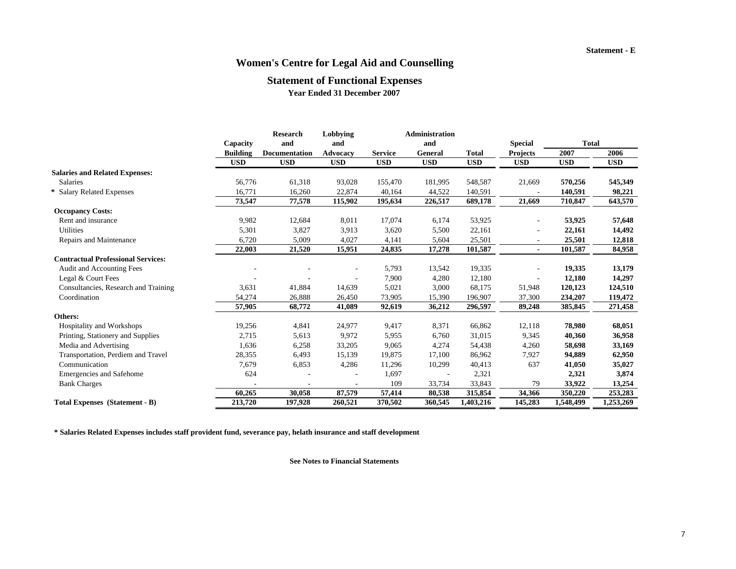#### **Statement of Functional Expenses Year Ended 31 December 2007**

|                                           |                 | <b>Research</b> | Lobbying        |                | <b>Administration</b> |              |                 |              |            |
|-------------------------------------------|-----------------|-----------------|-----------------|----------------|-----------------------|--------------|-----------------|--------------|------------|
|                                           | Capacity        | and             | and             |                | and                   |              | <b>Special</b>  | <b>Total</b> |            |
|                                           | <b>Building</b> | Documentation   | <b>Advocacy</b> | <b>Service</b> | <b>General</b>        | <b>Total</b> | <b>Projects</b> | 2007         | 2006       |
|                                           | <b>USD</b>      | <b>USD</b>      | <b>USD</b>      | <b>USD</b>     | <b>USD</b>            | <b>USD</b>   | <b>USD</b>      | <b>USD</b>   | <b>USD</b> |
| <b>Salaries and Related Expenses:</b>     |                 |                 |                 |                |                       |              |                 |              |            |
| <b>Salaries</b>                           | 56,776          | 61,318          | 93,028          | 155,470        | 181,995               | 548,587      | 21,669          | 570,256      | 545,349    |
| * Salary Related Expenses                 | 16,771          | 16,260          | 22,874          | 40,164         | 44,522                | 140,591      |                 | 140,591      | 98,221     |
|                                           | 73,547          | 77,578          | 115,902         | 195,634        | 226,517               | 689,178      | 21,669          | 710,847      | 643,570    |
| <b>Occupancy Costs:</b>                   |                 |                 |                 |                |                       |              |                 |              |            |
| Rent and insurance                        | 9,982           | 12,684          | 8,011           | 17,074         | 6,174                 | 53,925       |                 | 53,925       | 57,648     |
| <b>Utilities</b>                          | 5,301           | 3,827           | 3,913           | 3,620          | 5,500                 | 22,161       |                 | 22,161       | 14,492     |
| Repairs and Maintenance                   | 6.720           | 5,009           | 4,027           | 4,141          | 5,604                 | 25,501       |                 | 25,501       | 12,818     |
|                                           | 22,003          | 21,520          | 15,951          | 24,835         | 17,278                | 101,587      | $\blacksquare$  | 101,587      | 84,958     |
| <b>Contractual Professional Services:</b> |                 |                 |                 |                |                       |              |                 |              |            |
| Audit and Accounting Fees                 |                 |                 |                 | 5,793          | 13,542                | 19,335       |                 | 19,335       | 13,179     |
| Legal & Court Fees                        |                 |                 |                 | 7,900          | 4,280                 | 12,180       |                 | 12,180       | 14,297     |
| Consultancies, Research and Training      | 3,631           | 41,884          | 14,639          | 5,021          | 3,000                 | 68,175       | 51,948          | 120,123      | 124,510    |
| Coordination                              | 54,274          | 26,888          | 26,450          | 73,905         | 15,390                | 196,907      | 37,300          | 234,207      | 119,472    |
|                                           | 57,905          | 68,772          | 41,089          | 92,619         | 36,212                | 296,597      | 89,248          | 385,845      | 271,458    |
| Others:                                   |                 |                 |                 |                |                       |              |                 |              |            |
| Hospitality and Workshops                 | 19,256          | 4,841           | 24,977          | 9,417          | 8,371                 | 66,862       | 12,118          | 78,980       | 68,051     |
| Printing, Stationery and Supplies         | 2,715           | 5,613           | 9,972           | 5,955          | 6,760                 | 31,015       | 9,345           | 40,360       | 36,958     |
| Media and Advertising                     | 1,636           | 6,258           | 33,205          | 9,065          | 4,274                 | 54,438       | 4,260           | 58,698       | 33,169     |
| Transportation, Perdiem and Travel        | 28,355          | 6,493           | 15,139          | 19,875         | 17,100                | 86,962       | 7,927           | 94,889       | 62,950     |
| Communication                             | 7,679           | 6,853           | 4,286           | 11,296         | 10,299                | 40,413       | 637             | 41,050       | 35,027     |
| <b>Emergencies and Safehome</b>           | 624             |                 |                 | 1,697          |                       | 2,321        |                 | 2,321        | 3,874      |
| <b>Bank Charges</b>                       |                 |                 |                 | 109            | 33,734                | 33,843       | 79              | 33,922       | 13,254     |
|                                           | 60,265          | 30,058          | 87,579          | 57,414         | 80,538                | 315,854      | 34,366          | 350,220      | 253,283    |
| Total Expenses (Statement - B)            | 213,720         | 197,928         | 260,521         | 370,502        | 360,545               | 1,403,216    | 145,283         | 1,548,499    | 1,253,269  |

**\* Salaries Related Expenses includes staff provident fund, severance pay, helath insurance and staff development**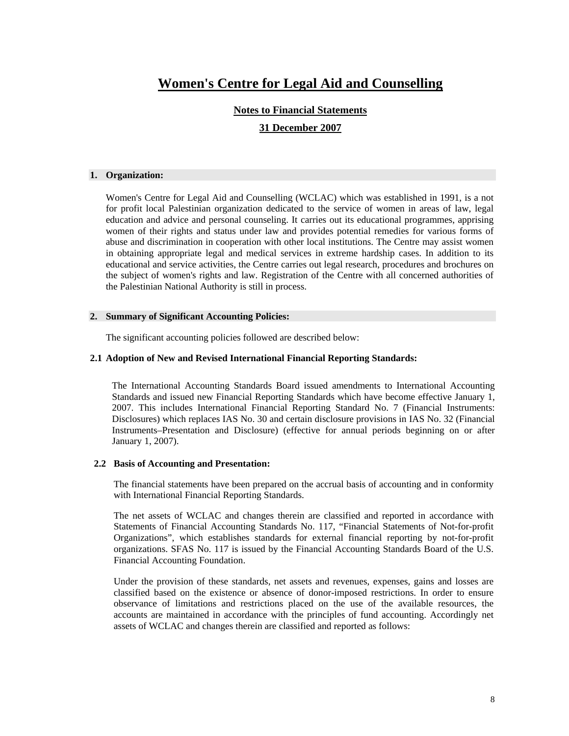#### **Notes to Financial Statements**

#### **31 December 2007**

#### **1. Organization:**

Women's Centre for Legal Aid and Counselling (WCLAC) which was established in 1991, is a not for profit local Palestinian organization dedicated to the service of women in areas of law, legal education and advice and personal counseling. It carries out its educational programmes, apprising women of their rights and status under law and provides potential remedies for various forms of abuse and discrimination in cooperation with other local institutions. The Centre may assist women in obtaining appropriate legal and medical services in extreme hardship cases. In addition to its educational and service activities, the Centre carries out legal research, procedures and brochures on the subject of women's rights and law. Registration of the Centre with all concerned authorities of the Palestinian National Authority is still in process.

#### **2. Summary of Significant Accounting Policies:**

The significant accounting policies followed are described below:

#### **2.1 Adoption of New and Revised International Financial Reporting Standards:**

The International Accounting Standards Board issued amendments to International Accounting Standards and issued new Financial Reporting Standards which have become effective January 1, 2007. This includes International Financial Reporting Standard No. 7 (Financial Instruments: Disclosures) which replaces IAS No. 30 and certain disclosure provisions in IAS No. 32 (Financial Instruments–Presentation and Disclosure) (effective for annual periods beginning on or after January 1, 2007).

#### **2.2 Basis of Accounting and Presentation:**

The financial statements have been prepared on the accrual basis of accounting and in conformity with International Financial Reporting Standards.

The net assets of WCLAC and changes therein are classified and reported in accordance with Statements of Financial Accounting Standards No. 117, "Financial Statements of Not-for-profit Organizations", which establishes standards for external financial reporting by not-for-profit organizations. SFAS No. 117 is issued by the Financial Accounting Standards Board of the U.S. Financial Accounting Foundation.

Under the provision of these standards, net assets and revenues, expenses, gains and losses are classified based on the existence or absence of donor-imposed restrictions. In order to ensure observance of limitations and restrictions placed on the use of the available resources, the accounts are maintained in accordance with the principles of fund accounting. Accordingly net assets of WCLAC and changes therein are classified and reported as follows: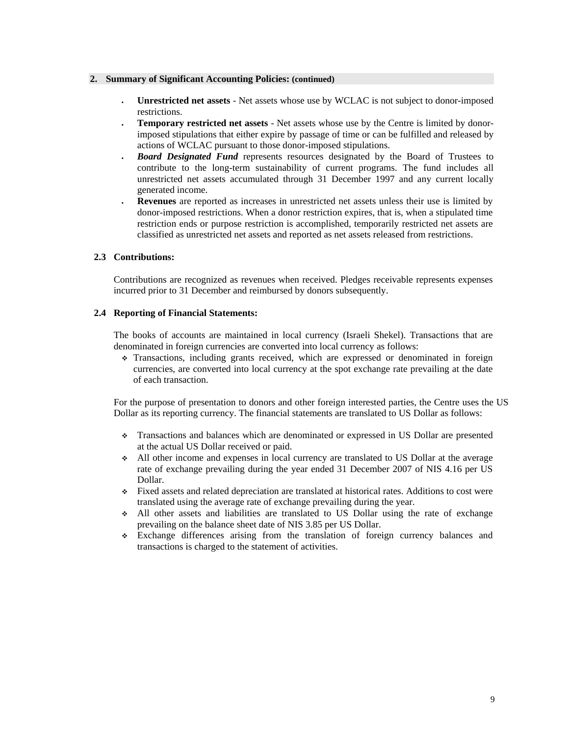#### **2. Summary of Significant Accounting Policies: (continued)**

- **Unrestricted net assets** Net assets whose use by WCLAC is not subject to donor-imposed restrictions.
- **Temporary restricted net assets** Net assets whose use by the Centre is limited by donorimposed stipulations that either expire by passage of time or can be fulfilled and released by actions of WCLAC pursuant to those donor-imposed stipulations.
- *Board Designated Fund* represents resources designated by the Board of Trustees to contribute to the long-term sustainability of current programs. The fund includes all unrestricted net assets accumulated through 31 December 1997 and any current locally generated income.
- **Revenues** are reported as increases in unrestricted net assets unless their use is limited by donor-imposed restrictions. When a donor restriction expires, that is, when a stipulated time restriction ends or purpose restriction is accomplished, temporarily restricted net assets are classified as unrestricted net assets and reported as net assets released from restrictions.

#### **2.3 Contributions:**

Contributions are recognized as revenues when received. Pledges receivable represents expenses incurred prior to 31 December and reimbursed by donors subsequently.

#### **2.4 Reporting of Financial Statements:**

The books of accounts are maintained in local currency (Israeli Shekel). Transactions that are denominated in foreign currencies are converted into local currency as follows:

 Transactions, including grants received, which are expressed or denominated in foreign currencies, are converted into local currency at the spot exchange rate prevailing at the date of each transaction.

For the purpose of presentation to donors and other foreign interested parties, the Centre uses the US Dollar as its reporting currency. The financial statements are translated to US Dollar as follows:

- Transactions and balances which are denominated or expressed in US Dollar are presented at the actual US Dollar received or paid.
- All other income and expenses in local currency are translated to US Dollar at the average rate of exchange prevailing during the year ended 31 December 2007 of NIS 4.16 per US Dollar.
- Fixed assets and related depreciation are translated at historical rates. Additions to cost were translated using the average rate of exchange prevailing during the year.
- All other assets and liabilities are translated to US Dollar using the rate of exchange prevailing on the balance sheet date of NIS 3.85 per US Dollar.
- Exchange differences arising from the translation of foreign currency balances and transactions is charged to the statement of activities.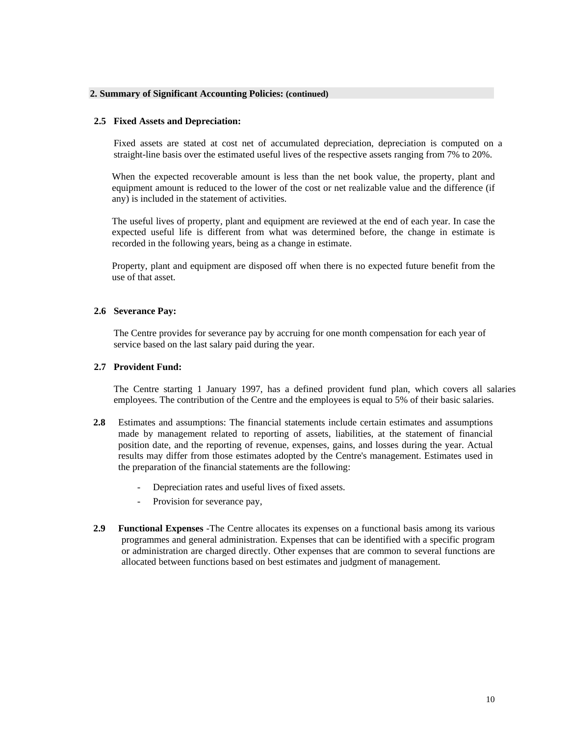#### **2. Summary of Significant Accounting Policies: (continued)**

#### **2.5 Fixed Assets and Depreciation:**

Fixed assets are stated at cost net of accumulated depreciation, depreciation is computed on a straight-line basis over the estimated useful lives of the respective assets ranging from 7% to 20%.

When the expected recoverable amount is less than the net book value, the property, plant and equipment amount is reduced to the lower of the cost or net realizable value and the difference (if any) is included in the statement of activities.

The useful lives of property, plant and equipment are reviewed at the end of each year. In case the expected useful life is different from what was determined before, the change in estimate is recorded in the following years, being as a change in estimate.

Property, plant and equipment are disposed off when there is no expected future benefit from the use of that asset.

#### **2.6 Severance Pay:**

The Centre provides for severance pay by accruing for one month compensation for each year of service based on the last salary paid during the year.

#### **2.7 Provident Fund:**

The Centre starting 1 January 1997, has a defined provident fund plan, which covers all salaries employees. The contribution of the Centre and the employees is equal to 5% of their basic salaries.

- **2.8** Estimates and assumptions: The financial statements include certain estimates and assumptions made by management related to reporting of assets, liabilities, at the statement of financial position date, and the reporting of revenue, expenses, gains, and losses during the year. Actual results may differ from those estimates adopted by the Centre's management. Estimates used in the preparation of the financial statements are the following:
	- Depreciation rates and useful lives of fixed assets.
	- Provision for severance pay,
- **2.9 Functional Expenses** -The Centre allocates its expenses on a functional basis among its various programmes and general administration. Expenses that can be identified with a specific program or administration are charged directly. Other expenses that are common to several functions are allocated between functions based on best estimates and judgment of management.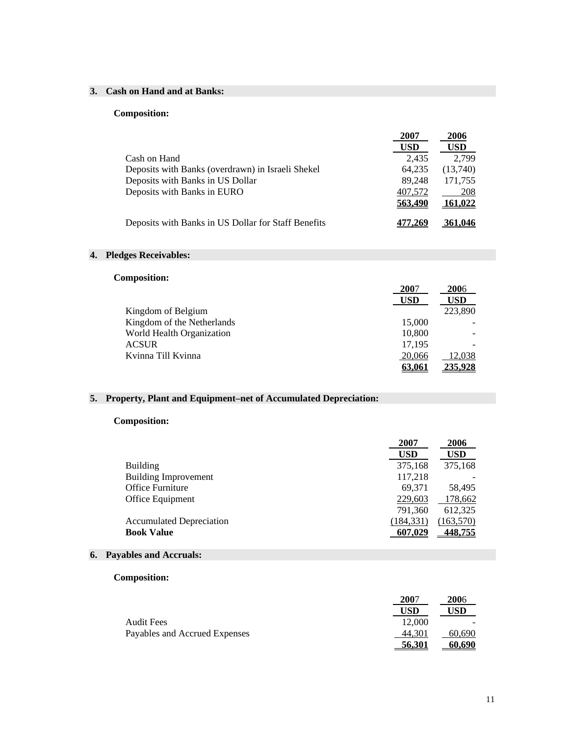#### **3. Cash on Hand and at Banks:**

#### **Composition:**

|                                                     | 2007       | 2006     |
|-----------------------------------------------------|------------|----------|
|                                                     | <b>USD</b> | USD      |
| Cash on Hand                                        | 2.435      | 2.799    |
| Deposits with Banks (overdrawn) in Israeli Shekel   | 64,235     | (13,740) |
| Deposits with Banks in US Dollar                    | 89,248     | 171,755  |
| Deposits with Banks in EURO                         | 407,572    | 208      |
|                                                     | 563.490    | 161.022  |
| Deposits with Banks in US Dollar for Staff Benefits |            |          |

#### **4. Pledges Receivables:**

| <b>Composition:</b>        |            |            |
|----------------------------|------------|------------|
|                            | 2007       | 2006       |
|                            | <b>USD</b> | <b>USD</b> |
| Kingdom of Belgium         |            | 223,890    |
| Kingdom of the Netherlands | 15,000     |            |
| World Health Organization  | 10,800     |            |
| <b>ACSUR</b>               | 17,195     |            |
| Kvinna Till Kvinna         | 20,066     | 12,038     |
|                            | 63,061     | 235.928    |

#### **5. Property, Plant and Equipment–net of Accumulated Depreciation:**

#### **Composition:**

|                                 | 2007       | 2006       |
|---------------------------------|------------|------------|
|                                 | USD        | <b>USD</b> |
| <b>Building</b>                 | 375,168    | 375,168    |
| <b>Building Improvement</b>     | 117,218    |            |
| <b>Office Furniture</b>         | 69.371     | 58.495     |
| Office Equipment                | 229,603    | 178,662    |
|                                 | 791,360    | 612,325    |
| <b>Accumulated Depreciation</b> | (184, 331) | (163, 570) |
| <b>Book Value</b>               | 607.029    | 448,755    |

#### **6. Payables and Accruals:**

#### **Composition:**

|                               | 2007   | 2006   |
|-------------------------------|--------|--------|
|                               | USD    | USD    |
| <b>Audit Fees</b>             | 12,000 |        |
| Payables and Accrued Expenses | 44.301 | 60.690 |
|                               | 56.301 | 60.690 |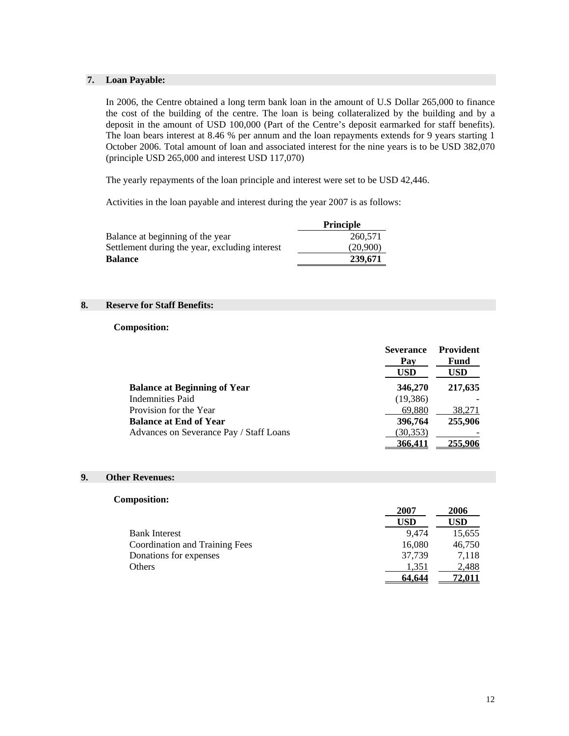#### **7. Loan Payable:**

In 2006, the Centre obtained a long term bank loan in the amount of U.S Dollar 265,000 to finance the cost of the building of the centre. The loan is being collateralized by the building and by a deposit in the amount of USD 100,000 (Part of the Centre's deposit earmarked for staff benefits). The loan bears interest at 8.46 % per annum and the loan repayments extends for 9 years starting 1 October 2006. Total amount of loan and associated interest for the nine years is to be USD 382,070 (principle USD 265,000 and interest USD 117,070)

The yearly repayments of the loan principle and interest were set to be USD 42,446.

Activities in the loan payable and interest during the year 2007 is as follows:

|                                                | <b>Principle</b> |
|------------------------------------------------|------------------|
| Balance at beginning of the year               | 260.571          |
| Settlement during the year, excluding interest | (20.900)         |
| Balance                                        | 239,671          |

#### **8. Reserve for Staff Benefits:**

#### **Composition:**

|                                         | <b>Severance</b><br>Pav<br><b>USD</b> | <b>Provident</b><br>Fund<br>USD |
|-----------------------------------------|---------------------------------------|---------------------------------|
| <b>Balance at Beginning of Year</b>     | 346,270                               | 217,635                         |
| <b>Indemnities Paid</b>                 | (19, 386)                             |                                 |
| Provision for the Year                  | 69,880                                | 38,271                          |
| <b>Balance at End of Year</b>           | 396,764                               | 255,906                         |
| Advances on Severance Pay / Staff Loans | (30, 353)                             |                                 |
|                                         | 366.41                                |                                 |

#### **9. Other Revenues:**

| <b>Composition:</b> |
|---------------------|
|                     |

|                                | 2007   | 2006   |  |
|--------------------------------|--------|--------|--|
|                                | USD    | USD    |  |
| <b>Bank Interest</b>           | 9.474  | 15,655 |  |
| Coordination and Training Fees | 16,080 | 46,750 |  |
| Donations for expenses         | 37,739 | 7,118  |  |
| Others                         | 1,351  | 2,488  |  |
|                                | 64.644 | 2.011  |  |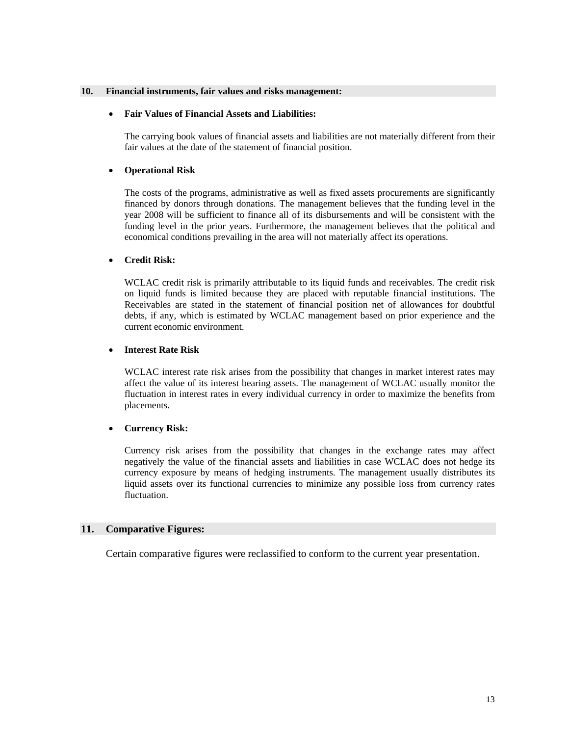#### **10. Financial instruments, fair values and risks management:**

#### • **Fair Values of Financial Assets and Liabilities:**

The carrying book values of financial assets and liabilities are not materially different from their fair values at the date of the statement of financial position.

#### • **Operational Risk**

The costs of the programs, administrative as well as fixed assets procurements are significantly financed by donors through donations. The management believes that the funding level in the year 2008 will be sufficient to finance all of its disbursements and will be consistent with the funding level in the prior years. Furthermore, the management believes that the political and economical conditions prevailing in the area will not materially affect its operations.

#### • **Credit Risk:**

WCLAC credit risk is primarily attributable to its liquid funds and receivables. The credit risk on liquid funds is limited because they are placed with reputable financial institutions. The Receivables are stated in the statement of financial position net of allowances for doubtful debts, if any, which is estimated by WCLAC management based on prior experience and the current economic environment.

#### • **Interest Rate Risk**

WCLAC interest rate risk arises from the possibility that changes in market interest rates may affect the value of its interest bearing assets. The management of WCLAC usually monitor the fluctuation in interest rates in every individual currency in order to maximize the benefits from placements.

#### • **Currency Risk:**

Currency risk arises from the possibility that changes in the exchange rates may affect negatively the value of the financial assets and liabilities in case WCLAC does not hedge its currency exposure by means of hedging instruments. The management usually distributes its liquid assets over its functional currencies to minimize any possible loss from currency rates fluctuation.

#### **11. Comparative Figures:**

Certain comparative figures were reclassified to conform to the current year presentation.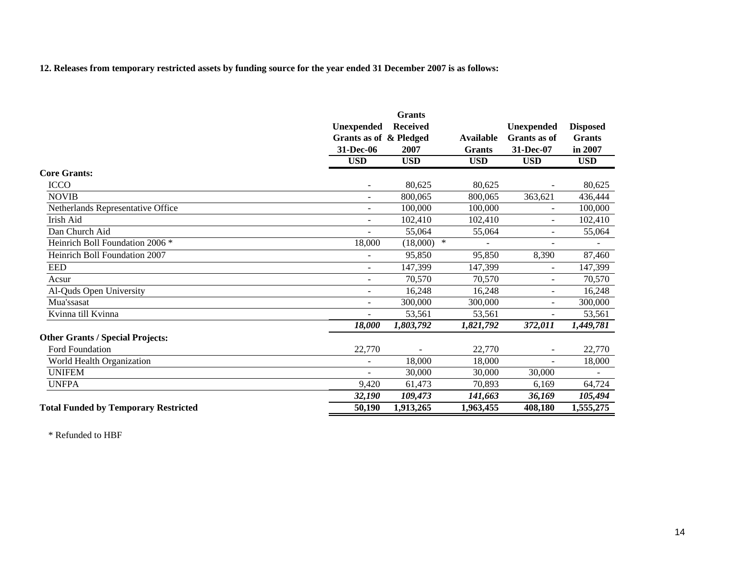**12. Releases from temporary restricted assets by funding source for the year ended 31 December 2007 is as follows:**

|                                             |                          | <b>Grants</b>      |                  |                          |                 |
|---------------------------------------------|--------------------------|--------------------|------------------|--------------------------|-----------------|
|                                             | Unexpended               | Received           |                  | <b>Unexpended</b>        | <b>Disposed</b> |
|                                             | Grants as of & Pledged   |                    | <b>Available</b> | <b>Grants</b> as of      | <b>Grants</b>   |
|                                             | 31-Dec-06                | 2007               | <b>Grants</b>    | 31-Dec-07                | in 2007         |
|                                             | <b>USD</b>               | <b>USD</b>         | <b>USD</b>       | <b>USD</b>               | <b>USD</b>      |
| <b>Core Grants:</b>                         |                          |                    |                  |                          |                 |
| <b>ICCO</b>                                 | $\overline{\phantom{a}}$ | 80,625             | 80,625           |                          | 80,625          |
| <b>NOVIB</b>                                | $\blacksquare$           | 800,065            | 800,065          | 363,621                  | 436,444         |
| Netherlands Representative Office           | $\blacksquare$           | 100,000            | 100,000          | $\overline{\phantom{a}}$ | 100,000         |
| Irish Aid                                   |                          | 102,410            | 102,410          | ÷.                       | 102,410         |
| Dan Church Aid                              |                          | 55,064             | 55,064           | $\overline{\phantom{a}}$ | 55,064          |
| Heinrich Boll Foundation 2006 *             | 18,000                   | $\ast$<br>(18,000) |                  | $\blacksquare$           |                 |
| Heinrich Boll Foundation 2007               |                          | 95,850             | 95,850           | 8,390                    | 87,460          |
| <b>EED</b>                                  | $\blacksquare$           | 147,399            | 147,399          | $\blacksquare$           | 147,399         |
| Acsur                                       |                          | 70,570             | 70,570           | $\blacksquare$           | 70,570          |
| Al-Quds Open University                     | $\blacksquare$           | 16,248             | 16,248           | $\overline{\phantom{a}}$ | 16,248          |
| Mua'ssasat                                  | $\blacksquare$           | 300,000            | 300,000          | $\overline{\phantom{a}}$ | 300,000         |
| Kvinna till Kvinna                          |                          | 53,561             | 53,561           |                          | 53,561          |
|                                             | 18,000                   | 1,803,792          | 1,821,792        | 372,011                  | 1,449,781       |
| <b>Other Grants / Special Projects:</b>     |                          |                    |                  |                          |                 |
| Ford Foundation                             | 22,770                   |                    | 22,770           | ÷.                       | 22,770          |
| World Health Organization                   |                          | 18,000             | 18,000           | $\overline{a}$           | 18,000          |
| <b>UNIFEM</b>                               |                          | 30,000             | 30,000           | 30,000                   |                 |
| <b>UNFPA</b>                                | 9,420                    | 61,473             | 70,893           | 6,169                    | 64,724          |
|                                             | 32,190                   | 109,473            | 141,663          | 36,169                   | 105,494         |
| <b>Total Funded by Temporary Restricted</b> | 50,190                   | 1,913,265          | 1,963,455        | 408,180                  | 1,555,275       |

\* Refunded to HBF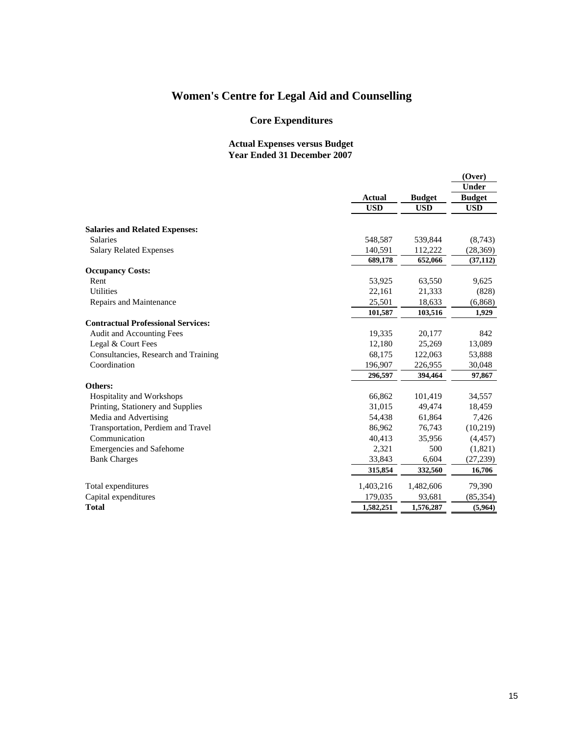## **Core Expenditures**

|                                           |                    |               | (Over)                 |
|-------------------------------------------|--------------------|---------------|------------------------|
|                                           |                    |               | <b>Under</b>           |
|                                           | <b>Actual</b>      | <b>Budget</b> | <b>Budget</b>          |
|                                           | <b>USD</b>         | <b>USD</b>    | <b>USD</b>             |
| <b>Salaries and Related Expenses:</b>     |                    |               |                        |
| <b>Salaries</b>                           | 548,587            | 539,844       |                        |
|                                           |                    | 112,222       | (8,743)                |
| <b>Salary Related Expenses</b>            | 140,591<br>689,178 | 652,066       | (28, 369)<br>(37, 112) |
| <b>Occupancy Costs:</b>                   |                    |               |                        |
| Rent                                      | 53,925             | 63,550        | 9,625                  |
| <b>Utilities</b>                          | 22,161             | 21,333        | (828)                  |
| Repairs and Maintenance                   | 25,501             | 18,633        | (6, 868)               |
|                                           | 101,587            | 103,516       | 1,929                  |
| <b>Contractual Professional Services:</b> |                    |               |                        |
| Audit and Accounting Fees                 | 19,335             | 20,177        | 842                    |
| Legal & Court Fees                        | 12,180             | 25,269        | 13,089                 |
| Consultancies, Research and Training      | 68,175             | 122,063       | 53,888                 |
| Coordination                              | 196,907            | 226,955       | 30,048                 |
|                                           | 296,597            | 394,464       | 97,867                 |
| Others:                                   |                    |               |                        |
| Hospitality and Workshops                 | 66,862             | 101,419       | 34,557                 |
| Printing, Stationery and Supplies         | 31,015             | 49,474        | 18,459                 |
| Media and Advertising                     | 54,438             | 61,864        | 7,426                  |
| Transportation, Perdiem and Travel        | 86,962             | 76,743        | (10, 219)              |
| Communication                             | 40,413             | 35,956        | (4, 457)               |
| <b>Emergencies and Safehome</b>           | 2,321              | 500           | (1,821)                |
| <b>Bank Charges</b>                       | 33,843             | 6,604         | (27, 239)              |
|                                           | 315,854            | 332,560       | 16,706                 |
| Total expenditures                        | 1,403,216          | 1,482,606     | 79,390                 |
| Capital expenditures                      | 179,035            | 93,681        | (85, 354)              |
| <b>Total</b>                              | 1,582,251          | 1,576,287     | (5,964)                |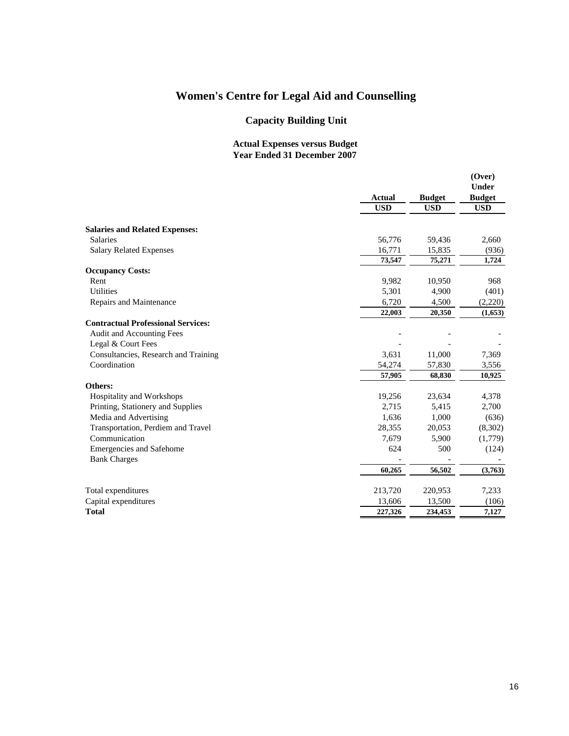## **Capacity Building Unit**

|                                           | <b>Actual</b> | <b>Budget</b> | (Over)<br><b>Under</b><br><b>Budget</b> |
|-------------------------------------------|---------------|---------------|-----------------------------------------|
|                                           | <b>USD</b>    | <b>USD</b>    | <b>USD</b>                              |
|                                           |               |               |                                         |
| <b>Salaries and Related Expenses:</b>     |               |               |                                         |
| <b>Salaries</b>                           | 56,776        | 59,436        | 2,660                                   |
| <b>Salary Related Expenses</b>            | 16,771        | 15,835        | (936)                                   |
|                                           | 73,547        | 75,271        | 1,724                                   |
| <b>Occupancy Costs:</b>                   |               |               |                                         |
| Rent                                      | 9,982         | 10,950        | 968                                     |
| <b>Utilities</b>                          | 5,301         | 4,900         | (401)                                   |
| Repairs and Maintenance                   | 6,720         | 4,500         | (2,220)                                 |
|                                           | 22,003        | 20,350        | (1,653)                                 |
| <b>Contractual Professional Services:</b> |               |               |                                         |
| Audit and Accounting Fees                 |               |               |                                         |
| Legal & Court Fees                        |               |               |                                         |
| Consultancies, Research and Training      | 3,631         | 11,000        | 7,369                                   |
| Coordination                              | 54,274        | 57,830        | 3,556                                   |
|                                           | 57,905        | 68,830        | 10,925                                  |
| Others:                                   |               |               |                                         |
| Hospitality and Workshops                 | 19,256        | 23,634        | 4,378                                   |
| Printing, Stationery and Supplies         | 2,715         | 5,415         | 2,700                                   |
| Media and Advertising                     | 1,636         | 1,000         | (636)                                   |
| Transportation, Perdiem and Travel        | 28,355        | 20,053        | (8,302)                                 |
| Communication                             | 7,679         | 5,900         | (1,779)                                 |
| <b>Emergencies and Safehome</b>           | 624           | 500           | (124)                                   |
| <b>Bank Charges</b>                       |               |               |                                         |
|                                           | 60,265        | 56,502        | (3,763)                                 |
| Total expenditures                        | 213,720       | 220,953       | 7,233                                   |
| Capital expenditures                      | 13,606        | 13,500        | (106)                                   |
| <b>Total</b>                              | 227,326       | 234,453       | 7,127                                   |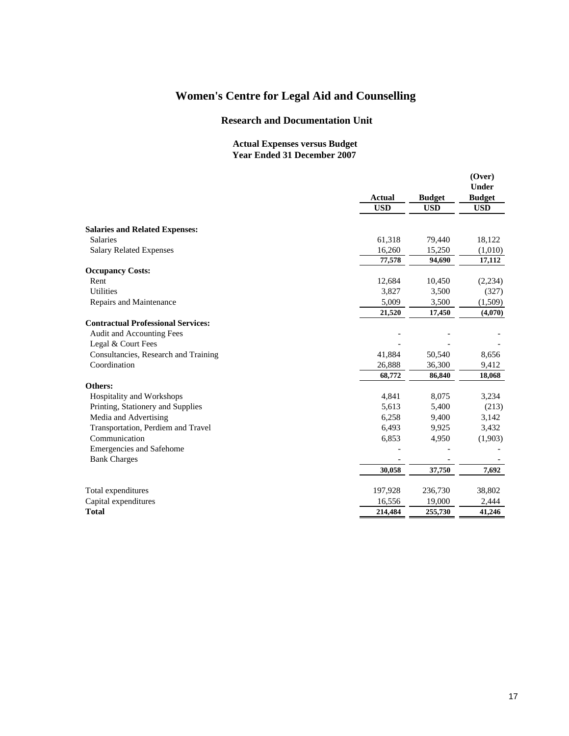## **Research and Documentation Unit**

|                                           | <b>Actual</b> | <b>Budget</b> | (Over)<br><b>Under</b><br><b>Budget</b> |
|-------------------------------------------|---------------|---------------|-----------------------------------------|
|                                           | <b>USD</b>    | <b>USD</b>    | <b>USD</b>                              |
|                                           |               |               |                                         |
| <b>Salaries and Related Expenses:</b>     |               |               |                                         |
| <b>Salaries</b>                           | 61,318        | 79,440        | 18,122                                  |
| <b>Salary Related Expenses</b>            | 16,260        | 15,250        | (1,010)                                 |
|                                           | 77,578        | 94,690        | 17,112                                  |
| <b>Occupancy Costs:</b>                   |               |               |                                         |
| Rent                                      | 12,684        | 10,450        | (2,234)                                 |
| <b>Utilities</b>                          | 3,827         | 3,500         | (327)                                   |
| Repairs and Maintenance                   | 5,009         | 3,500         | (1,509)                                 |
|                                           | 21,520        | 17,450        | (4,070)                                 |
| <b>Contractual Professional Services:</b> |               |               |                                         |
| Audit and Accounting Fees                 |               |               |                                         |
| Legal & Court Fees                        |               |               |                                         |
| Consultancies, Research and Training      | 41,884        | 50,540        | 8,656                                   |
| Coordination                              | 26,888        | 36,300        | 9,412                                   |
|                                           | 68,772        | 86,840        | 18,068                                  |
| Others:                                   |               |               |                                         |
| Hospitality and Workshops                 | 4,841         | 8,075         | 3,234                                   |
| Printing, Stationery and Supplies         | 5,613         | 5,400         | (213)                                   |
| Media and Advertising                     | 6,258         | 9,400         | 3,142                                   |
| Transportation, Perdiem and Travel        | 6,493         | 9,925         | 3,432                                   |
| Communication                             | 6,853         | 4,950         | (1,903)                                 |
| <b>Emergencies and Safehome</b>           |               |               |                                         |
| <b>Bank Charges</b>                       |               |               |                                         |
|                                           | 30,058        | 37,750        | 7,692                                   |
| Total expenditures                        | 197,928       | 236,730       | 38,802                                  |
| Capital expenditures                      | 16,556        | 19,000        | 2,444                                   |
| <b>Total</b>                              | 214,484       | 255,730       | 41,246                                  |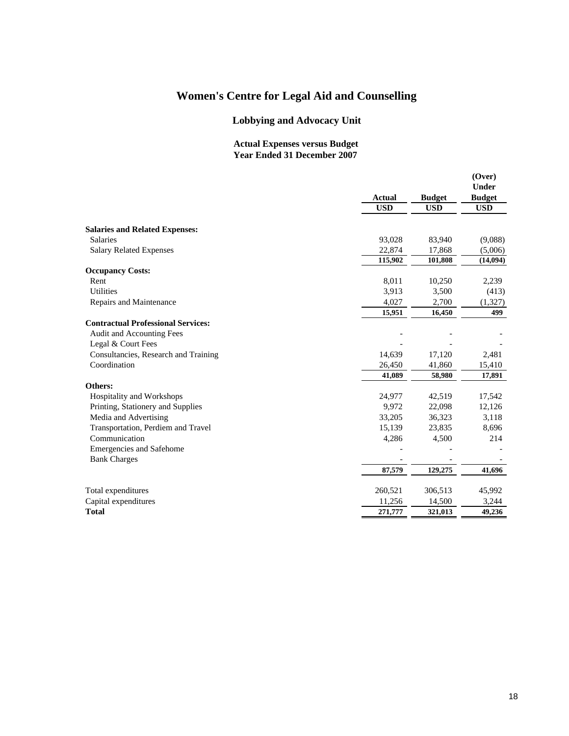## **Lobbying and Advocacy Unit**

|                                           | <b>Actual</b> | <b>Budget</b> | (Over)<br><b>Under</b><br><b>Budget</b> |
|-------------------------------------------|---------------|---------------|-----------------------------------------|
|                                           | <b>USD</b>    | <b>USD</b>    | <b>USD</b>                              |
|                                           |               |               |                                         |
| <b>Salaries and Related Expenses:</b>     |               |               |                                         |
| <b>Salaries</b>                           | 93,028        | 83,940        | (9,088)                                 |
| <b>Salary Related Expenses</b>            | 22,874        | 17,868        | (5,006)                                 |
|                                           | 115,902       | 101,808       | (14, 094)                               |
| <b>Occupancy Costs:</b>                   |               |               |                                         |
| Rent                                      | 8,011         | 10,250        | 2,239                                   |
| <b>Utilities</b>                          | 3,913         | 3,500         | (413)                                   |
| Repairs and Maintenance                   | 4,027         | 2,700         | (1,327)                                 |
|                                           | 15,951        | 16,450        | 499                                     |
| <b>Contractual Professional Services:</b> |               |               |                                         |
| Audit and Accounting Fees                 |               |               |                                         |
| Legal & Court Fees                        |               |               |                                         |
| Consultancies, Research and Training      | 14,639        | 17,120        | 2,481                                   |
| Coordination                              | 26,450        | 41,860        | 15,410                                  |
|                                           | 41,089        | 58,980        | 17,891                                  |
| Others:                                   |               |               |                                         |
| Hospitality and Workshops                 | 24,977        | 42,519        | 17,542                                  |
| Printing, Stationery and Supplies         | 9,972         | 22,098        | 12,126                                  |
| Media and Advertising                     | 33,205        | 36,323        | 3,118                                   |
| Transportation, Perdiem and Travel        | 15,139        | 23,835        | 8,696                                   |
| Communication                             | 4,286         | 4,500         | 214                                     |
| <b>Emergencies and Safehome</b>           |               |               |                                         |
| <b>Bank Charges</b>                       |               |               |                                         |
|                                           | 87,579        | 129,275       | 41,696                                  |
| Total expenditures                        | 260,521       | 306,513       | 45,992                                  |
| Capital expenditures                      | 11,256        | 14,500        | 3,244                                   |
| <b>Total</b>                              | 271,777       | 321,013       | 49,236                                  |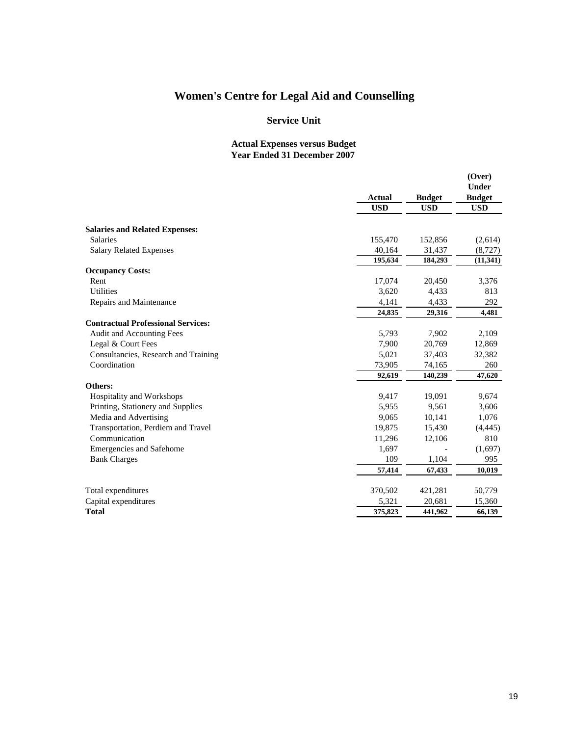#### **Service Unit**

|                                           |            |               | (Over)<br><b>Under</b> |
|-------------------------------------------|------------|---------------|------------------------|
|                                           | Actual     | <b>Budget</b> | <b>Budget</b>          |
|                                           | <b>USD</b> | <b>USD</b>    | <b>USD</b>             |
| <b>Salaries and Related Expenses:</b>     |            |               |                        |
| <b>Salaries</b>                           | 155,470    | 152,856       | (2,614)                |
| <b>Salary Related Expenses</b>            | 40,164     | 31,437        | (8, 727)               |
|                                           | 195,634    | 184,293       | (11, 341)              |
| <b>Occupancy Costs:</b>                   |            |               |                        |
| Rent                                      | 17,074     | 20,450        | 3,376                  |
| <b>Utilities</b>                          | 3,620      | 4,433         | 813                    |
| Repairs and Maintenance                   | 4,141      | 4,433         | 292                    |
|                                           | 24,835     | 29,316        | 4,481                  |
| <b>Contractual Professional Services:</b> |            |               |                        |
| Audit and Accounting Fees                 | 5,793      | 7,902         | 2,109                  |
| Legal & Court Fees                        | 7,900      | 20,769        | 12,869                 |
| Consultancies, Research and Training      | 5,021      | 37,403        | 32,382                 |
| Coordination                              | 73,905     | 74,165        | 260                    |
|                                           | 92,619     | 140,239       | 47,620                 |
| Others:                                   |            |               |                        |
| Hospitality and Workshops                 | 9,417      | 19,091        | 9,674                  |
| Printing, Stationery and Supplies         | 5,955      | 9,561         | 3,606                  |
| Media and Advertising                     | 9,065      | 10,141        | 1,076                  |
| Transportation, Perdiem and Travel        | 19,875     | 15,430        | (4, 445)               |
| Communication                             | 11,296     | 12,106        | 810                    |
| <b>Emergencies and Safehome</b>           | 1,697      |               | (1,697)                |
| <b>Bank Charges</b>                       | 109        | 1,104         | 995                    |
|                                           | 57,414     | 67,433        | 10,019                 |
| Total expenditures                        | 370,502    | 421,281       | 50,779                 |
| Capital expenditures                      | 5,321      | 20,681        | 15,360                 |
| <b>Total</b>                              | 375,823    | 441,962       | 66,139                 |
|                                           |            |               |                        |